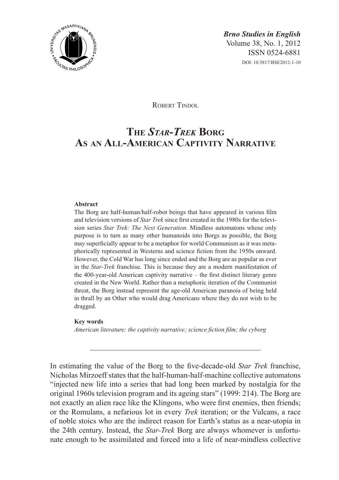

ROBERT TINDOL

# **The** *Star-Trek* **Borg As an All-American Captivity Narrative**

#### **Abstract**

The Borg are half-human/half-robot beings that have appeared in various film and television versions of *Star Trek* since first created in the 1980s for the television series *Star Trek: The Next Generation*. Mindless automatons whose only purpose is to turn as many other humanoids into Borgs as possible, the Borg may superficially appear to be a metaphor for world Communism as it was metaphorically represented in Westerns and science fiction from the 1950s onward. However, the Cold War has long since ended and the Borg are as popular as ever in the *Star-Trek* franchise. This is because they are a modern manifestation of the 400-year-old American captivity narrative – the first distinct literary genre created in the New World. Rather than a metaphoric iteration of the Communist threat, the Borg instead represent the age-old American paranoia of being held in thrall by an Other who would drag Americans where they do not wish to be dragged.

#### **Key words**

*American literature; the captivity narrative; science fiction film; the cyborg*

In estimating the value of the Borg to the five-decade-old *Star Trek* franchise, Nicholas Mirzoeff states that the half-human-half-machine collective automatons "injected new life into a series that had long been marked by nostalgia for the original 1960s television program and its ageing stars" (1999: 214). The Borg are not exactly an alien race like the Klingons, who were first enemies, then friends; or the Romulans, a nefarious lot in every *Trek* iteration; or the Vulcans, a race of noble stoics who are the indirect reason for Earth's status as a near-utopia in the 24th century. Instead, the *Star-Trek* Borg are always whomever is unfortunate enough to be assimilated and forced into a life of near-mindless collective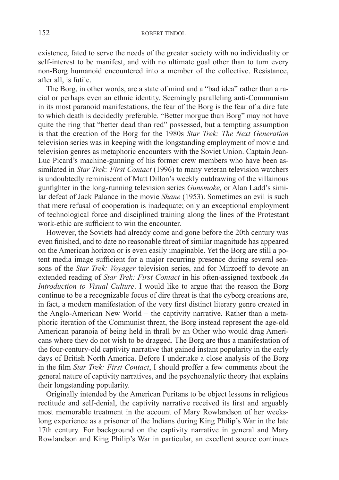existence, fated to serve the needs of the greater society with no individuality or self-interest to be manifest, and with no ultimate goal other than to turn every non-Borg humanoid encountered into a member of the collective. Resistance, after all, is futile.

The Borg, in other words, are a state of mind and a "bad idea" rather than a racial or perhaps even an ethnic identity. Seemingly paralleling anti-Communism in its most paranoid manifestations, the fear of the Borg is the fear of a dire fate to which death is decidedly preferable. "Better morgue than Borg" may not have quite the ring that "better dead than red" possessed, but a tempting assumption is that the creation of the Borg for the 1980s *Star Trek: The Next Generation*  television series was in keeping with the longstanding employment of movie and television genres as metaphoric encounters with the Soviet Union. Captain Jean-Luc Picard's machine-gunning of his former crew members who have been assimilated in *Star Trek: First Contact* (1996) to many veteran television watchers is undoubtedly reminiscent of Matt Dillon's weekly outdrawing of the villainous gunfighter in the long-running television series *Gunsmoke,* or Alan Ladd's similar defeat of Jack Palance in the movie *Shane* (1953). Sometimes an evil is such that mere refusal of cooperation is inadequate; only an exceptional employment of technological force and disciplined training along the lines of the Protestant work-ethic are sufficient to win the encounter.

However, the Soviets had already come and gone before the 20th century was even finished, and to date no reasonable threat of similar magnitude has appeared on the American horizon or is even easily imaginable. Yet the Borg are still a potent media image sufficient for a major recurring presence during several seasons of the *Star Trek: Voyager* television series, and for Mirzoeff to devote an extended reading of *Star Trek: First Contact* in his often-assigned textbook An *Introduction to Visual Culture*. I would like to argue that the reason the Borg continue to be a recognizable focus of dire threat is that the cyborg creations are, in fact, a modern manifestation of the very first distinct literary genre created in the Anglo-American New World – the captivity narrative. Rather than a metaphoric iteration of the Communist threat, the Borg instead represent the age-old American paranoia of being held in thrall by an Other who would drag Americans where they do not wish to be dragged. The Borg are thus a manifestation of the four-century-old captivity narrative that gained instant popularity in the early days of British North America. Before I undertake a close analysis of the Borg in the film *Star Trek: First Contact*, I should proffer a few comments about the general nature of captivity narratives, and the psychoanalytic theory that explains their longstanding popularity.

Originally intended by the American Puritans to be object lessons in religious rectitude and self-denial, the captivity narrative received its first and arguably most memorable treatment in the account of Mary Rowlandson of her weekslong experience as a prisoner of the Indians during King Philip's War in the late 17th century. For background on the captivity narrative in general and Mary Rowlandson and King Philip's War in particular, an excellent source continues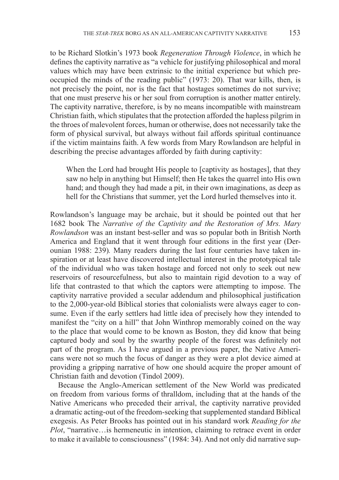to be Richard Slotkin's 1973 book *Regeneration Through Violence*, in which he defines the captivity narrative as "a vehicle for justifying philosophical and moral values which may have been extrinsic to the initial experience but which preoccupied the minds of the reading public" (1973: 20). That war kills, then, is not precisely the point, nor is the fact that hostages sometimes do not survive; that one must preserve his or her soul from corruption is another matter entirely. The captivity narrative, therefore, is by no means incompatible with mainstream Christian faith, which stipulates that the protection afforded the hapless pilgrim in the throes of malevolent forces, human or otherwise, does not necessarily take the form of physical survival, but always without fail affords spiritual continuance if the victim maintains faith. A few words from Mary Rowlandson are helpful in describing the precise advantages afforded by faith during captivity:

When the Lord had brought His people to [captivity as hostages], that they saw no help in anything but Himself; then He takes the quarrel into His own hand; and though they had made a pit, in their own imaginations, as deep as hell for the Christians that summer, yet the Lord hurled themselves into it.

Rowlandson's language may be archaic, but it should be pointed out that her 1682 book The *Narrative of the Captivity and the Restoration of Mrs. Mary Rowlandson* was an instant best-seller and was so popular both in British North America and England that it went through four editions in the first year (Derounian 1988: 239)*.* Many readers during the last four centuries have taken inspiration or at least have discovered intellectual interest in the prototypical tale of the individual who was taken hostage and forced not only to seek out new reservoirs of resourcefulness, but also to maintain rigid devotion to a way of life that contrasted to that which the captors were attempting to impose. The captivity narrative provided a secular addendum and philosophical justification to the 2,000-year-old Biblical stories that colonialists were always eager to consume. Even if the early settlers had little idea of precisely how they intended to manifest the "city on a hill" that John Winthrop memorably coined on the way to the place that would come to be known as Boston, they did know that being captured body and soul by the swarthy people of the forest was definitely not part of the program. As I have argued in a previous paper, the Native Americans were not so much the focus of danger as they were a plot device aimed at providing a gripping narrative of how one should acquire the proper amount of Christian faith and devotion (Tindol 2009).

Because the Anglo-American settlement of the New World was predicated on freedom from various forms of thralldom, including that at the hands of the Native Americans who preceded their arrival, the captivity narrative provided a dramatic acting-out of the freedom-seeking that supplemented standard Biblical exegesis. As Peter Brooks has pointed out in his standard work *Reading for the Plot*, "narrative…is hermeneutic in intention, claiming to retrace event in order to make it available to consciousness" (1984: 34). And not only did narrative sup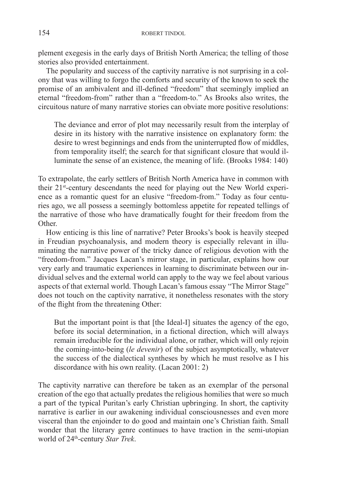plement exegesis in the early days of British North America; the telling of those stories also provided entertainment.

The popularity and success of the captivity narrative is not surprising in a colony that was willing to forgo the comforts and security of the known to seek the promise of an ambivalent and ill-defined "freedom" that seemingly implied an eternal "freedom-from" rather than a "freedom-to." As Brooks also writes, the circuitous nature of many narrative stories can obviate more positive resolutions:

The deviance and error of plot may necessarily result from the interplay of desire in its history with the narrative insistence on explanatory form: the desire to wrest beginnings and ends from the uninterrupted flow of middles, from temporality itself; the search for that significant closure that would illuminate the sense of an existence, the meaning of life. (Brooks 1984: 140)

To extrapolate, the early settlers of British North America have in common with their 21st-century descendants the need for playing out the New World experience as a romantic quest for an elusive "freedom-from." Today as four centuries ago, we all possess a seemingly bottomless appetite for repeated tellings of the narrative of those who have dramatically fought for their freedom from the Other.

How enticing is this line of narrative? Peter Brooks's book is heavily steeped in Freudian psychoanalysis, and modern theory is especially relevant in illuminating the narrative power of the tricky dance of religious devotion with the "freedom-from." Jacques Lacan's mirror stage, in particular, explains how our very early and traumatic experiences in learning to discriminate between our individual selves and the external world can apply to the way we feel about various aspects of that external world. Though Lacan's famous essay "The Mirror Stage" does not touch on the captivity narrative, it nonetheless resonates with the story of the flight from the threatening Other:

But the important point is that [the Ideal-I] situates the agency of the ego, before its social determination, in a fictional direction, which will always remain irreducible for the individual alone, or rather, which will only rejoin the coming-into-being (*le devenir*) of the subject asymptotically, whatever the success of the dialectical syntheses by which he must resolve as I his discordance with his own reality. (Lacan 2001: 2)

The captivity narrative can therefore be taken as an exemplar of the personal creation of the ego that actually predates the religious homilies that were so much a part of the typical Puritan's early Christian upbringing. In short, the captivity narrative is earlier in our awakening individual consciousnesses and even more visceral than the enjoinder to do good and maintain one's Christian faith. Small wonder that the literary genre continues to have traction in the semi-utopian world of 24th-century *Star Trek*.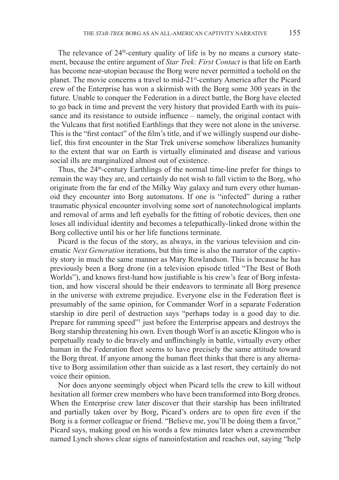The relevance of  $24<sup>th</sup>$ -century quality of life is by no means a cursory statement, because the entire argument of *Star Trek: First Contact* is that life on Earth has become near-utopian because the Borg were never permitted a toehold on the planet. The movie concerns a travel to mid-21st-century America after the Picard crew of the Enterprise has won a skirmish with the Borg some 300 years in the future. Unable to conquer the Federation in a direct battle, the Borg have elected to go back in time and prevent the very history that provided Earth with its puissance and its resistance to outside influence – namely, the original contact with the Vulcans that first notified Earthlings that they were not alone in the universe. This is the "first contact" of the film's title, and if we willingly suspend our disbelief, this first encounter in the Star Trek universe somehow liberalizes humanity to the extent that war on Earth is virtually eliminated and disease and various social ills are marginalized almost out of existence.

Thus, the 24<sup>th</sup>-century Earthlings of the normal time-line prefer for things to remain the way they are, and certainly do not wish to fall victim to the Borg, who originate from the far end of the Milky Way galaxy and turn every other humanoid they encounter into Borg automatons. If one is "infected" during a rather traumatic physical encounter involving some sort of nanotechnological implants and removal of arms and left eyeballs for the fitting of robotic devices, then one loses all individual identity and becomes a telepathically-linked drone within the Borg collective until his or her life functions terminate.

Picard is the focus of the story, as always, in the various television and cinematic *Next Generation* iterations, but this time is also the narrator of the captivity story in much the same manner as Mary Rowlandson. This is because he has previously been a Borg drone (in a television episode titled "The Best of Both Worlds"), and knows first-hand how justifiable is his crew's fear of Borg infestation, and how visceral should be their endeavors to terminate all Borg presence in the universe with extreme prejudice. Everyone else in the Federation fleet is presumably of the same opinion, for Commander Worf in a separate Federation starship in dire peril of destruction says "perhaps today is a good day to die. Prepare for ramming speed"<sup>1</sup> just before the Enterprise appears and destroys the Borg starship threatening his own. Even though Worf is an ascetic Klingon who is perpetually ready to die bravely and unflinchingly in battle, virtually every other human in the Federation fleet seems to have precisely the same attitude toward the Borg threat. If anyone among the human fleet thinks that there is any alternative to Borg assimilation other than suicide as a last resort, they certainly do not voice their opinion.

Nor does anyone seemingly object when Picard tells the crew to kill without hesitation all former crew members who have been transformed into Borg drones. When the Enterprise crew later discover that their starship has been infiltrated and partially taken over by Borg, Picard's orders are to open fire even if the Borg is a former colleague or friend. "Believe me, you'll be doing them a favor," Picard says, making good on his words a few minutes later when a crewmember named Lynch shows clear signs of nanoinfestation and reaches out, saying "help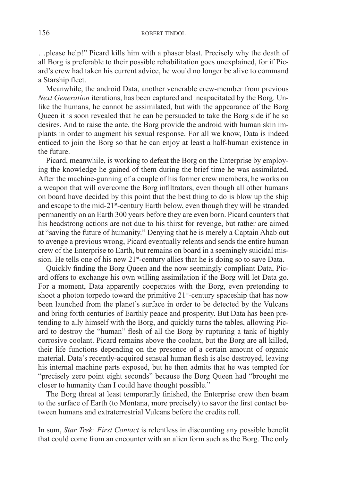…please help!" Picard kills him with a phaser blast. Precisely why the death of all Borg is preferable to their possible rehabilitation goes unexplained, for if Picard's crew had taken his current advice, he would no longer be alive to command a Starship fleet.

Meanwhile, the android Data, another venerable crew-member from previous *Next Generation* iterations, has been captured and incapacitated by the Borg. Unlike the humans, he cannot be assimilated, but with the appearance of the Borg Queen it is soon revealed that he can be persuaded to take the Borg side if he so desires. And to raise the ante, the Borg provide the android with human skin implants in order to augment his sexual response. For all we know, Data is indeed enticed to join the Borg so that he can enjoy at least a half-human existence in the future.

Picard, meanwhile, is working to defeat the Borg on the Enterprise by employing the knowledge he gained of them during the brief time he was assimilated. After the machine-gunning of a couple of his former crew members, he works on a weapon that will overcome the Borg infiltrators, even though all other humans on board have decided by this point that the best thing to do is blow up the ship and escape to the mid-21st-century Earth below, even though they will be stranded permanently on an Earth 300 years before they are even born. Picard counters that his headstrong actions are not due to his thirst for revenge, but rather are aimed at "saving the future of humanity." Denying that he is merely a Captain Ahab out to avenge a previous wrong, Picard eventually relents and sends the entire human crew of the Enterprise to Earth, but remains on board in a seemingly suicidal mission. He tells one of his new 21<sup>st</sup>-century allies that he is doing so to save Data.

Quickly finding the Borg Queen and the now seemingly compliant Data, Picard offers to exchange his own willing assimilation if the Borg will let Data go. For a moment, Data apparently cooperates with the Borg, even pretending to shoot a photon torpedo toward the primitive  $21^{st}$ -century spaceship that has now been launched from the planet's surface in order to be detected by the Vulcans and bring forth centuries of Earthly peace and prosperity. But Data has been pretending to ally himself with the Borg, and quickly turns the tables, allowing Picard to destroy the "human" flesh of all the Borg by rupturing a tank of highly corrosive coolant. Picard remains above the coolant, but the Borg are all killed, their life functions depending on the presence of a certain amount of organic material. Data's recently-acquired sensual human flesh is also destroyed, leaving his internal machine parts exposed, but he then admits that he was tempted for "precisely zero point eight seconds" because the Borg Queen had "brought me closer to humanity than I could have thought possible."

The Borg threat at least temporarily finished, the Enterprise crew then beam to the surface of Earth (to Montana, more precisely) to savor the first contact between humans and extraterrestrial Vulcans before the credits roll.

In sum, *Star Trek: First Contact* is relentless in discounting any possible benefit that could come from an encounter with an alien form such as the Borg. The only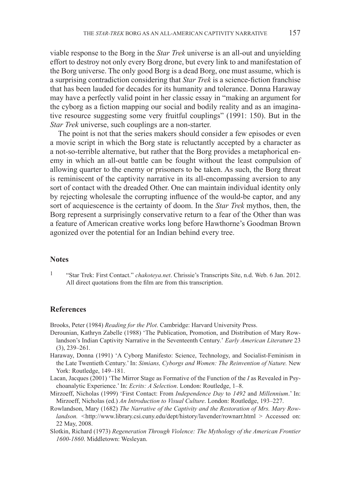viable response to the Borg in the *Star Trek* universe is an all-out and unyielding effort to destroy not only every Borg drone, but every link to and manifestation of the Borg universe. The only good Borg is a dead Borg, one must assume, which is a surprising contradiction considering that *Star Trek* is a science-fiction franchise that has been lauded for decades for its humanity and tolerance. Donna Haraway may have a perfectly valid point in her classic essay in "making an argument for the cyborg as a fiction mapping our social and bodily reality and as an imaginative resource suggesting some very fruitful couplings" (1991: 150). But in the *Star Trek* universe, such couplings are a non-starter.

The point is not that the series makers should consider a few episodes or even a movie script in which the Borg state is reluctantly accepted by a character as a not-so-terrible alternative, but rather that the Borg provides a metaphorical enemy in which an all-out battle can be fought without the least compulsion of allowing quarter to the enemy or prisoners to be taken. As such, the Borg threat is reminiscent of the captivity narrative in its all-encompassing aversion to any sort of contact with the dreaded Other. One can maintain individual identity only by rejecting wholesale the corrupting influence of the would-be captor, and any sort of acquiescence is the certainty of doom. In the *Star Trek* mythos, then, the Borg represent a surprisingly conservative return to a fear of the Other than was a feature of American creative works long before Hawthorne's Goodman Brown agonized over the potential for an Indian behind every tree.

### **Notes**

1 "Star Trek: First Contact." *chakoteya.net*. Chrissie's Transcripts Site, n.d. Web. 6 Jan. 2012. All direct quotations from the film are from this transcription.

## **References**

Brooks, Peter (1984) *Reading for the Plot*. Cambridge: Harvard University Press.

- Derounian, Kathryn Zabelle (1988) 'The Publication, Promotion, and Distribution of Mary Rowlandson's Indian Captivity Narrative in the Seventeenth Century.' *Early American Literature* 23 (3), 239–261*.*
- Haraway, Donna (1991) 'A Cyborg Manifesto: Science, Technology, and Socialist-Feminism in the Late Twentieth Century.' In: *Simians, Cyborgs and Women: The Reinvention of Nature.* New York: Routledge, 149–181.
- Lacan, Jacques (2001) 'The Mirror Stage as Formative of the Function of the *I* as Revealed in Psychoanalytic Experience.' In: *Ecrits: A Selection*. London: Routledge, 1–8.
- Mirzoeff, Nicholas (1999) 'First Contact: From *Independence Day* to *1492* and *Millennium*.' In: Mirzoeff, Nicholas (ed.) *An Introduction to Visual Culture*. London: Routledge, 193–227.
- Rowlandson, Mary (1682) *The Narrative of the Captivity and the Restoration of Mrs. Mary Rowlandson. <*http://www.library.csi.cuny.edu/dept/history/lavender/rownarr.html > Accessed on: 22 May, 2008.
- Slotkin, Richard (1973) *Regeneration Through Violence: The Mythology of the American Frontier 1600-1860*. Middletown: Wesleyan.